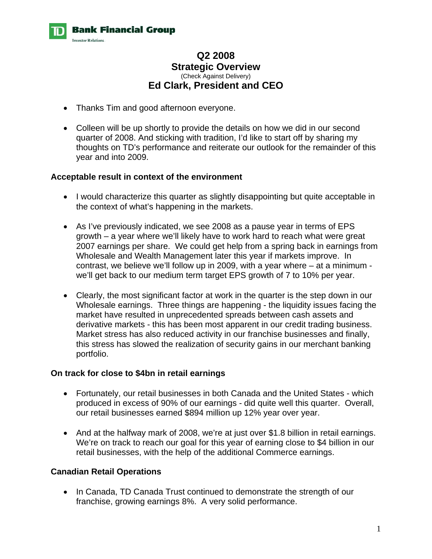

# **Q2 2008 Strategic Overview**  (Check Against Delivery) **Ed Clark, President and CEO**

- Thanks Tim and good afternoon everyone.
- Colleen will be up shortly to provide the details on how we did in our second quarter of 2008. And sticking with tradition, I'd like to start off by sharing my thoughts on TD's performance and reiterate our outlook for the remainder of this year and into 2009.

### **Acceptable result in context of the environment**

- I would characterize this quarter as slightly disappointing but quite acceptable in the context of what's happening in the markets.
- As I've previously indicated, we see 2008 as a pause year in terms of EPS growth – a year where we'll likely have to work hard to reach what were great 2007 earnings per share. We could get help from a spring back in earnings from Wholesale and Wealth Management later this year if markets improve. In contrast, we believe we'll follow up in 2009, with a year where – at a minimum we'll get back to our medium term target EPS growth of 7 to 10% per year.
- Clearly, the most significant factor at work in the quarter is the step down in our Wholesale earnings. Three things are happening - the liquidity issues facing the market have resulted in unprecedented spreads between cash assets and derivative markets - this has been most apparent in our credit trading business. Market stress has also reduced activity in our franchise businesses and finally, this stress has slowed the realization of security gains in our merchant banking portfolio.

#### **On track for close to \$4bn in retail earnings**

- Fortunately, our retail businesses in both Canada and the United States which produced in excess of 90% of our earnings - did quite well this quarter. Overall, our retail businesses earned \$894 million up 12% year over year.
- And at the halfway mark of 2008, we're at just over \$1.8 billion in retail earnings. We're on track to reach our goal for this year of earning close to \$4 billion in our retail businesses, with the help of the additional Commerce earnings.

## **Canadian Retail Operations**

• In Canada, TD Canada Trust continued to demonstrate the strength of our franchise, growing earnings 8%. A very solid performance.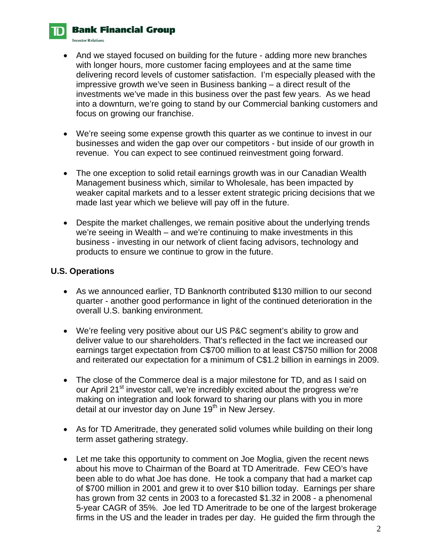## **Bank Financial Group**

**Investor Relations.** 

- And we stayed focused on building for the future adding more new branches with longer hours, more customer facing employees and at the same time delivering record levels of customer satisfaction. I'm especially pleased with the impressive growth we've seen in Business banking – a direct result of the investments we've made in this business over the past few years. As we head into a downturn, we're going to stand by our Commercial banking customers and focus on growing our franchise.
- We're seeing some expense growth this quarter as we continue to invest in our businesses and widen the gap over our competitors - but inside of our growth in revenue. You can expect to see continued reinvestment going forward.
- The one exception to solid retail earnings growth was in our Canadian Wealth Management business which, similar to Wholesale, has been impacted by weaker capital markets and to a lesser extent strategic pricing decisions that we made last year which we believe will pay off in the future.
- Despite the market challenges, we remain positive about the underlying trends we're seeing in Wealth – and we're continuing to make investments in this business - investing in our network of client facing advisors, technology and products to ensure we continue to grow in the future.

### **U.S. Operations**

- As we announced earlier, TD Banknorth contributed \$130 million to our second quarter - another good performance in light of the continued deterioration in the overall U.S. banking environment.
- We're feeling very positive about our US P&C segment's ability to grow and deliver value to our shareholders. That's reflected in the fact we increased our earnings target expectation from C\$700 million to at least C\$750 million for 2008 and reiterated our expectation for a minimum of C\$1.2 billion in earnings in 2009.
- The close of the Commerce deal is a major milestone for TD, and as I said on our April 21<sup>st</sup> investor call, we're incredibly excited about the progress we're making on integration and look forward to sharing our plans with you in more detail at our investor day on June 19<sup>th</sup> in New Jersey.
- As for TD Ameritrade, they generated solid volumes while building on their long term asset gathering strategy.
- Let me take this opportunity to comment on Joe Moglia, given the recent news about his move to Chairman of the Board at TD Ameritrade. Few CEO's have been able to do what Joe has done. He took a company that had a market cap of \$700 million in 2001 and grew it to over \$10 billion today. Earnings per share has grown from 32 cents in 2003 to a forecasted \$1.32 in 2008 - a phenomenal 5-year CAGR of 35%. Joe led TD Ameritrade to be one of the largest brokerage firms in the US and the leader in trades per day. He guided the firm through the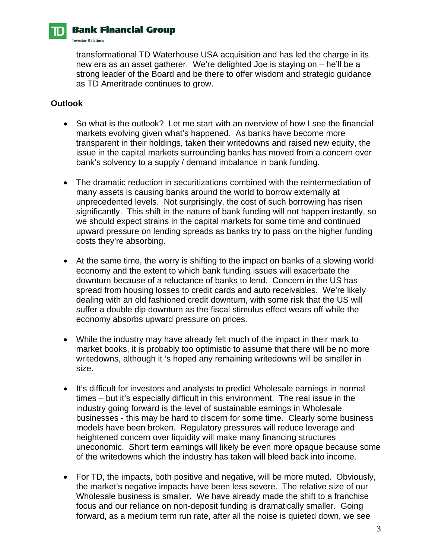# **Bank Financial Group**

**Investor Relations.** 

transformational TD Waterhouse USA acquisition and has led the charge in its new era as an asset gatherer. We're delighted Joe is staying on – he'll be a strong leader of the Board and be there to offer wisdom and strategic guidance as TD Ameritrade continues to grow.

# **Outlook**

- So what is the outlook? Let me start with an overview of how I see the financial markets evolving given what's happened. As banks have become more transparent in their holdings, taken their writedowns and raised new equity, the issue in the capital markets surrounding banks has moved from a concern over bank's solvency to a supply / demand imbalance in bank funding.
- The dramatic reduction in securitizations combined with the reintermediation of many assets is causing banks around the world to borrow externally at unprecedented levels. Not surprisingly, the cost of such borrowing has risen significantly. This shift in the nature of bank funding will not happen instantly, so we should expect strains in the capital markets for some time and continued upward pressure on lending spreads as banks try to pass on the higher funding costs they're absorbing.
- At the same time, the worry is shifting to the impact on banks of a slowing world economy and the extent to which bank funding issues will exacerbate the downturn because of a reluctance of banks to lend. Concern in the US has spread from housing losses to credit cards and auto receivables. We're likely dealing with an old fashioned credit downturn, with some risk that the US will suffer a double dip downturn as the fiscal stimulus effect wears off while the economy absorbs upward pressure on prices.
- While the industry may have already felt much of the impact in their mark to market books, it is probably too optimistic to assume that there will be no more writedowns, although it 's hoped any remaining writedowns will be smaller in size.
- It's difficult for investors and analysts to predict Wholesale earnings in normal times – but it's especially difficult in this environment. The real issue in the industry going forward is the level of sustainable earnings in Wholesale businesses - this may be hard to discern for some time. Clearly some business models have been broken. Regulatory pressures will reduce leverage and heightened concern over liquidity will make many financing structures uneconomic. Short term earnings will likely be even more opaque because some of the writedowns which the industry has taken will bleed back into income.
- For TD, the impacts, both positive and negative, will be more muted. Obviously, the market's negative impacts have been less severe. The relative size of our Wholesale business is smaller. We have already made the shift to a franchise focus and our reliance on non-deposit funding is dramatically smaller. Going forward, as a medium term run rate, after all the noise is quieted down, we see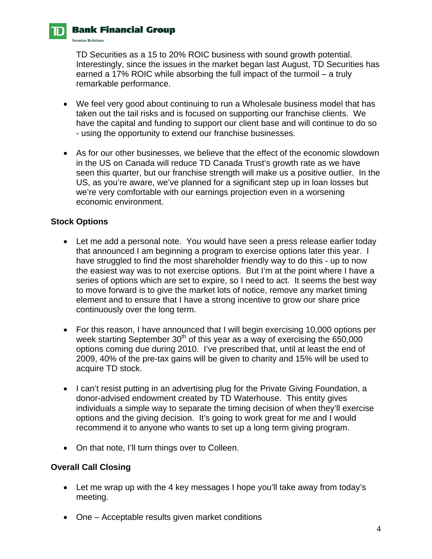# **Bank Financial Group**

**Investor Relations.** 

TD Securities as a 15 to 20% ROIC business with sound growth potential. Interestingly, since the issues in the market began last August, TD Securities has earned a 17% ROIC while absorbing the full impact of the turmoil – a truly remarkable performance.

- We feel very good about continuing to run a Wholesale business model that has taken out the tail risks and is focused on supporting our franchise clients. We have the capital and funding to support our client base and will continue to do so - using the opportunity to extend our franchise businesses.
- As for our other businesses, we believe that the effect of the economic slowdown in the US on Canada will reduce TD Canada Trust's growth rate as we have seen this quarter, but our franchise strength will make us a positive outlier. In the US, as you're aware, we've planned for a significant step up in loan losses but we're very comfortable with our earnings projection even in a worsening economic environment.

### **Stock Options**

- Let me add a personal note. You would have seen a press release earlier today that announced I am beginning a program to exercise options later this year. I have struggled to find the most shareholder friendly way to do this - up to now the easiest way was to not exercise options. But I'm at the point where I have a series of options which are set to expire, so I need to act. It seems the best way to move forward is to give the market lots of notice, remove any market timing element and to ensure that I have a strong incentive to grow our share price continuously over the long term.
- For this reason, I have announced that I will begin exercising 10,000 options per week starting September  $30<sup>th</sup>$  of this year as a way of exercising the 650,000 options coming due during 2010. I've prescribed that, until at least the end of 2009, 40% of the pre-tax gains will be given to charity and 15% will be used to acquire TD stock.
- I can't resist putting in an advertising plug for the Private Giving Foundation, a donor-advised endowment created by TD Waterhouse. This entity gives individuals a simple way to separate the timing decision of when they'll exercise options and the giving decision. It's going to work great for me and I would recommend it to anyone who wants to set up a long term giving program.
- On that note, I'll turn things over to Colleen.

#### **Overall Call Closing**

- Let me wrap up with the 4 key messages I hope you'll take away from today's meeting.
- One Acceptable results given market conditions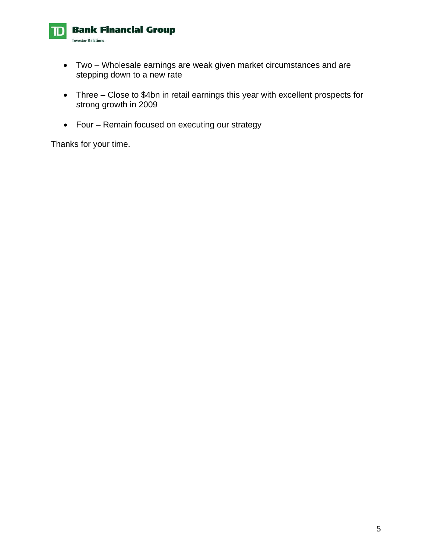

- Two Wholesale earnings are weak given market circumstances and are stepping down to a new rate
- Three Close to \$4bn in retail earnings this year with excellent prospects for strong growth in 2009
- Four Remain focused on executing our strategy

Thanks for your time.